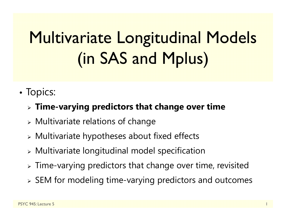# Multivariate Longitudinal Models (in SAS and Mplus)

- •• Topics:
	- **Time-varying predictors that change over time**
	- $\triangleright$  Multivariate relations of change
	- Multivariate hypotheses about fixed effects
	- Multivariate longitudinal model specification
	- $\triangleright$  Time-varying predictors that change over time, revisited
	- $\triangleright$  SEM for modeling time-varying predictors and outcomes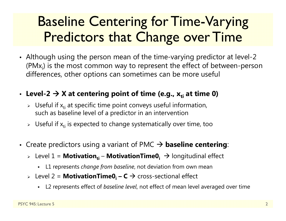### Baseline Centering for Time-Varying Predictors that Change over Time

- Although using the person mean of the time-varying predictor at level-2 (PM $x_i$ ) is the most common way to represent the effect of between-person differences, other options can sometimes can be more useful
- Level-2 → X at centering point of time (e.g., x<sub>ti</sub> at time 0)
	- $\triangleright$  Useful if  $x_{ti}$  at specific time point conveys useful information, such as baseline level of a predictor in an intervention
	- $\triangleright$  Useful if  $\mathsf{x}_{\mathsf{t}\mathsf{i}}$  is expected to change systematically over time, too
- Create predictors using a variant of PMC **baseline centering**:
	- > Level 1 = **Motivation<sub>ti</sub> MotivationTime0<sub>i</sub> →** longitudinal effect
		- L1 represents *change from baseline*, not deviation from own mean
	- > Level 2 = MotivationTime0<sub>i</sub> − C → cross-sectional effect
		- L2 represents effect of *baseline level*, not effect of mean level averaged over time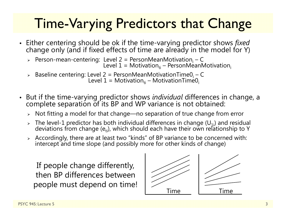# Time-Varying Predictors that Change

- Either centering should be ok if the time-varying predictor shows *fixed* change only (and if fixed effects of time are already in the model for Y)
	- > Person-mean-centering: Level 2 = PersonMeanMotivation<sub>i</sub> Level 2 = PersonMeanMotivation<sub>i</sub> – C<br>Level 1 = Motivation<sub>ti</sub> – PersonMeanMotivation<sub>i</sub>
	- > Baseline centering: Level 2 = PersonMeanMotivationTime0<sub>i</sub> -evel 2 = PersonMeanMotivationTime0<sub>i</sub> – C<br>Level 1 = Motivation<sub>ti</sub> – MotivationTime0<sub>i</sub>
- But if the time-varying predictor shows *individual* differences in change, a complete separation of its BP and WP variance is not obtained:
	- $\triangleright$   $\,$  Not fitting a model for that change—no separation of true change from error
	- Fine level-1 predictor has both individual differences in change (U<sub>1i</sub>) and residual<br>deviations from change (e<sub>ti</sub>), which should each have their own relationship to Y
	- $\triangleright$  Accordingly, there are at least two "kinds" of BP variance to be concerned with: intercept and time slope (and possibly more for other kinds of change)

If people change differently, then BP differences between people must depend on time!

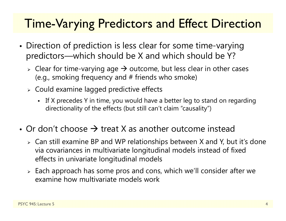#### Time-Varying Predictors and Effect Direction

- • Direction of prediction is less clear for some time-varying predictors—which should be X and which should be Y?
	- $\triangleright$  Clear for time-varying age  $\rightarrow$  outcome, but less clear in other cases (e.g., smoking frequency and # friends who smoke)
	- Could examine lagged predictive effects
		- If X precedes Y in time, you would have a better leg to stand on regarding directionality of the effects (but still can't claim "causality")
- Or don't choose  $\rightarrow$  treat X as another outcome instead
	- $\triangleright$  Can still examine BP and WP relationships between X and Y, but it's done via covariances in multivariate longitudinal models instead of fixed effects in univariate longitudinal models
	- $\triangleright$  Each approach has some pros and cons, which we'll consider after we examine how multivariate models work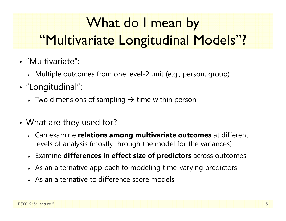# What do I mean by "Multivariate Longitudinal Models"?

- "Multivariate":
	- Multiple outcomes from one level-2 unit (e.g., person, group)
- "Longitudinal":
	- $\triangleright\;$  Two dimensions of sampling  $\boldsymbol{\rightarrow}$  time within person
- • What are they used for?
	- Can examine **relations among multivariate outcomes** at different levels of analysis (mostly through the model for the variances)
	- Examine **differences in effect size of predictors** across outcomes
	- $\triangleright$  As an alternative approach to modeling time-varying predictors
	- $\triangleright$  As an alternative to difference score models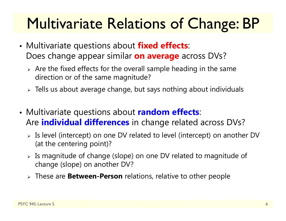# Multivariate Relations of Change: BP

- • Multivariate questions about **fixed effects**: Does change appear similar **on average** across DVs?
	- $\triangleright$  Are the fixed effects for the overall sample heading in the same direction or of the same magnitude?
	- $\triangleright$  Tells us about average change, but says nothing about individuals
- • Multivariate questions about **random effects**: Are **individual differences** in change related across DVs?
	- $\triangleright$  Is level (intercept) on one DV related to level (intercept) on another DV (at the centering point)?
	- $\triangleright$  Is magnitude of change (slope) on one DV related to magnitude of change (slope) on another DV?
	- These are **Between-Person** relations, relative to other people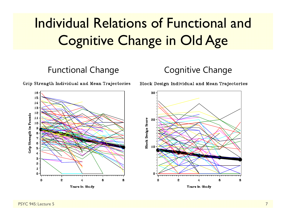# Individual Relations of Functional and Cognitive Change in Old Age

#### Functional Change **Cognitive Change**

Grip Strength Individual and Mean Trajectories

Block Design Individual and Mean Trajectories



Years in Study



Years in Study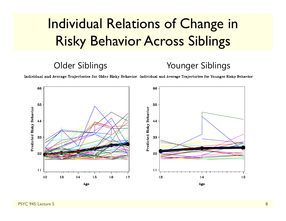# Individual Relations of Change in Risky Behavior Across Siblings

#### Older Siblings Younger Siblings

Individual and Average Trajectories for Older Risky Behavior Individual and Average Trajectories for Younger Risky Behavior

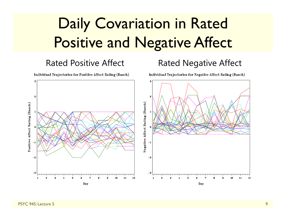# Daily Covariation in Rated Positive and Negative Affect

#### Rated Positive Affect Rated Negative Affect

Individual Trajectories for Positive Affect Rating (Rasch)

Individual Trajectories for Negative Affect Rating (Rasch)

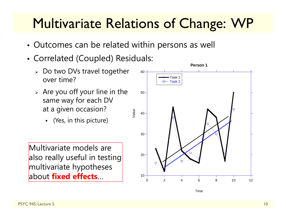### Multivariate Relations of Change: WP

- Outcomes can be related within persons as well
- Correlated (Coupled) Residuals:
	- Do two DVs travel together over time?
	- Value  $\triangleright$  Are you off your line in the same way for each DV at a given occasion?
		- (Yes, in this picture)

Multivariate models are also really useful in testing multivariate hypotheses about **fixed effects**…

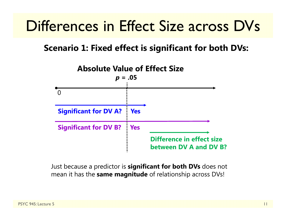# Differences in Effect Size across DVs

#### **Scenario 1: Fixed effect is significant for both DVs:**



Just because a predictor is **significant for both DVs** does not mean it has the **same magnitude** of relationship across DVs!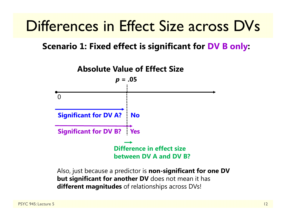# Differences in Effect Size across DVs

#### **Scenario 1: Fixed effect is significant for DV B only:**



Also, just because a predictor is **non-significant for one DV but significant for another DV** does not mean it has **different magnitudes** of relationships across DVs!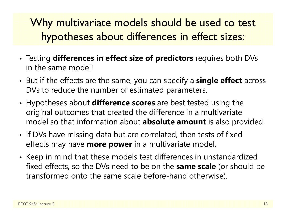#### Why multivariate models should be used to test hypotheses about differences in effect sizes:

- Testing **differences in effect size of predictors** requires both DVs in the same model!
- But if the effects are the same, you can specify a **single effect** across DVs to reduce the number of estimated parameters.
- Hypotheses about **difference scores** are best tested using the original outcomes that created the difference in a multivariate model so that information about **absolute amount** is also provided.
- If DVs have missing data but are correlated, then tests of fixed effects may have **more power** in a multivariate model.
- Keep in mind that these models test differences in unstandardized fixed effects, so the DVs need to be on the **same scale** (or should be transformed onto the same scale before-hand otherwise).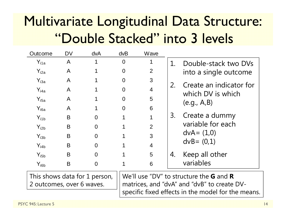# Multivariate Longitudinal Data Structure: "Double Stacked" into 3 levels

| Outcome                                                                                                                                                                                                                                                                                                                                                            | <b>DV</b>    | <b>dvA</b>     | dvB            | Wave           |             |                                                     |
|--------------------------------------------------------------------------------------------------------------------------------------------------------------------------------------------------------------------------------------------------------------------------------------------------------------------------------------------------------------------|--------------|----------------|----------------|----------------|-------------|-----------------------------------------------------|
| $Y_{i1a}$                                                                                                                                                                                                                                                                                                                                                          | A            |                | $\overline{0}$ | 1              | $1_{\cdot}$ | Double-stack two DVs<br>into a single outcome       |
| $Y_{i2a}$                                                                                                                                                                                                                                                                                                                                                          | $\mathsf{A}$ |                | $\Omega$       | $\overline{2}$ |             |                                                     |
| $Y_{i3a}$                                                                                                                                                                                                                                                                                                                                                          | A            |                | $\Omega$       | 3              | 2.          | Create an indicator for<br>which DV is which        |
| $Y_{i4a}$                                                                                                                                                                                                                                                                                                                                                          | A            |                | $\Omega$       | $\overline{4}$ |             |                                                     |
| $Y_{i5a}$                                                                                                                                                                                                                                                                                                                                                          | $\mathsf{A}$ |                | $\Omega$       | 5              |             | (e.g., A,B)                                         |
| $Y_{i6a}$                                                                                                                                                                                                                                                                                                                                                          | A            |                | $\Omega$       | 6              |             |                                                     |
| $Y_{i1b}$                                                                                                                                                                                                                                                                                                                                                          | B            | $\overline{0}$ |                | 1              | 3.          | Create a dummy                                      |
| $Y_{i2b}$                                                                                                                                                                                                                                                                                                                                                          | B            | $\overline{0}$ |                | $\overline{2}$ |             | variable for each<br>$dvA = (1,0)$<br>$dvB = (0,1)$ |
| $Y_{i3b}$                                                                                                                                                                                                                                                                                                                                                          | B            | $\overline{0}$ |                | 3              |             |                                                     |
| $Y_{i4b}$                                                                                                                                                                                                                                                                                                                                                          | B            | $\overline{0}$ |                | $\overline{4}$ |             |                                                     |
| $Y_{i5b}$                                                                                                                                                                                                                                                                                                                                                          | B            | $\overline{0}$ |                | 5              | 4.          | Keep all other                                      |
| $Y_{i6b}$                                                                                                                                                                                                                                                                                                                                                          | B            | $\overline{0}$ |                | 6              |             | variables                                           |
| $\mathsf{M}$ $\mathsf{A}$ $\mathsf{M}$ $\mathsf{B}$ $\mathsf{M}$ $\mathsf{M}$ $\mathsf{M}$ $\mathsf{M}$ $\mathsf{M}$ $\mathsf{M}$ $\mathsf{M}$ $\mathsf{M}$ $\mathsf{M}$ $\mathsf{M}$ $\mathsf{M}$ $\mathsf{M}$ $\mathsf{M}$ $\mathsf{M}$ $\mathsf{M}$ $\mathsf{M}$ $\mathsf{M}$ $\mathsf{M}$ $\mathsf{M}$ $\mathsf{M}$ $\mathsf{$<br>This shows data for 1 nerson |              |                |                |                |             |                                                     |

SHOWS GATA FOR 2 outcomes, over 6 waves.

We'll use "DV" to structure the **GG** and **R**matrices, and "dvA" and "dvB" to create DVspecific fixed effects in the model for the means.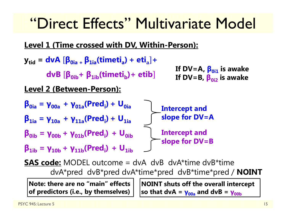# "Direct Effects" Multivariate Model

**Level 1 (Time crossed with DV, Within-Person):**

 $\mathbf{y}_{\rm tid}$  =  $\mathbf{dv}$ A  $[\mathbf{\beta}_{\rm 0ia+}\,\mathbf{\beta}_{\rm 1ia}(\mathbf{timeti}_a)+\mathbf{eti}_a]+\mathbf{ev}$ **dvB β0ib<sup>+</sup> β1ib(timeti b)+ etib Level 2 (Between-Person): β0ia <sup>=</sup> γ00a <sup>+</sup> γ01a(Predi) + U0ia**  $\beta_{1i}$  = γ<sub>10a</sub> + γ<sub>11a</sub>(Pred<sub>i</sub>) + U<sub>1ia</sub> **β0ib <sup>=</sup> γ00b <sup>+</sup> γ01b(Predi) + U0ib** $\beta_{1ib} = \gamma_{10b} + \gamma_{11b}(\text{Pred}_{i}) + U_{1ib}$ **If DV=A, β0i1 is awake If DV=B, β0i2 is awake Intercept and slope for DV=A Intercept and slope for DV=B**

**SAS code:** MODEL outcome = dvA dvB dvA\*time dvB\*time dvA\*pred dvB\*pred dvA\*time\*pred dvB\*time\*pred / **NOINT**

**Note: there are no "main" effects of predictors (i.e., by themselves)** **NOINT shuts off the overall intercept so that dvA <sup>=</sup> γ00a and dvB <sup>=</sup> γ00b**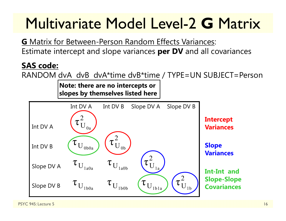# Multivariate Model Level-2 **G** Matrix

**G** Matrix for Between-Person Random Effects Variances: Estimate intercept and slope variances **per DV** and all covariances

#### **SAS code:**

RANDOM dvA dvB dvA\*time dvB\*time / TYPE=UN SUBJECT=Person

**Note: there are no intercepts or slopes by themselves listed here**

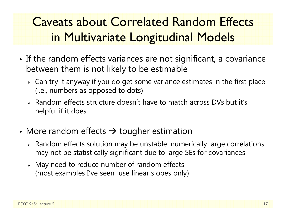### Caveats about Correlated Random Effects in Multivariate Longitudinal Models

- • $\bullet$  If the random effects variances are not significant, a covariance between them is not likely to be estimable
	- $\triangleright\;$  Can try it anyway if you do get some variance estimates in the first place (i.e., numbers as opposed to dots)
	- Random effects structure doesn't have to match across DVs but it's helpful if it does
- More random effects  $\rightarrow$  tougher estimation
	- $\triangleright$  Random effects solution may be unstable: numerically large correlations may not be statistically significant due to large SEs for covariances
	- May need to reduce number of random effects (most examples I've seen use linear slopes only)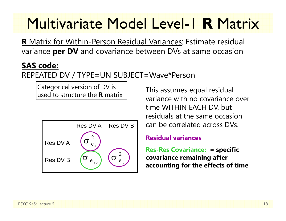# Multivariate Model Level-1 **R** Matrix

**R** Matrix for Within-Person Residual Variances: Estimate residual variance **per DV** and covariance between DVs at same occasion

#### **SAS code:**

REPEATED DV / TYPE=UN SUBJECT=Wave\*Person

Categorical version of DV is used to structure the **R** matrix



This assumes equal residual variance with no covariance over time WITHIN EACH DV, but residuals at the same occasion can be correlated across DVs.

#### **Residual variances**

**Res-Res Covariance: = specific covariance remaining after accounting for the effects of time**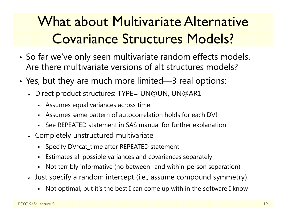# What about Multivariate Alternative Covariance Structures Models?

- • So far we've only seen multivariate random effects models. Are there multivariate versions of alt structures models?
- Yes, but they are much more limited—3 real options:
	- Direct product structures: TYPE= UN@UN, UN@AR1
		- Assumes equal variances across time
		- Assumes same pattern of autocorrelation holds for each DV!
		- See REPEATED statement in SAS manual for further explanation
	- $\triangleright$  Completely unstructured multivariate
		- Specify DV\*cat\_time after REPEATED statement
		- Estimates all possible variances and covariances separately
		- Not terribly informative (no between- and within-person separation)
	- $\triangleright$  Just specify a random intercept (i.e., assume compound symmetry)
		- Not optimal, but it's the best I can come up with in the software I know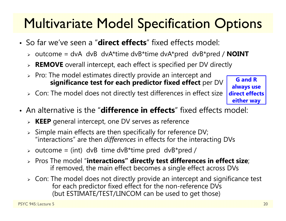# Multivariate Model Specification Options

- So far we've seen a "**direct effects**" fixed effects model:
	- outcome = dvA dvB dvA\*time dvB\*time dvA\*pred dvB\*pred / **NOINT**
	- **REMOVE** overall intercept, each effect is specified per DV directly
	- $\triangleright\;$  Pro: The model estimates directly provide an intercept and **significance test for each predictor fixed effect** per DV
	- $\triangleright\;$  Con: The model does not directly test differences in effect size

**G and R always use direct effects either way**

- An alternative is the "**difference in effects**" fixed effects model:
	- **KEEP** general intercept, one DV serves as reference
	- $\triangleright$  Simple main effects are then specifically for reference DV; "interactions" are then *differences* in effects for the interacting DVs
	- $\triangleright$  outcome = (int) dvB time dvB\*time pred dvB\*pred /
	- Pros The model "**interactions" directly test differences in effect size**; if removed, the main effect becomes a single effect across DVs
	- $\triangleright\;$  Con: The model does not directly provide an intercept and significance test for each predictor fixed effect for the non-reference DVs (but ESTIMATE/TEST/LINCOM can be used to get those)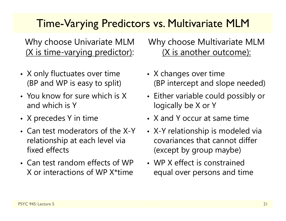#### Time-Varying Predictors vs. Multivariate MLM

Why choose Univariate MLM (X is time-varying predictor):

- X only fluctuates over time (BP and WP is easy to split)
- You know for sure which is X and which is Y
- X precedes Y in time
- Can test moderators of the X-Y relationship at each level via fixed effects
- Can test random effects of WP X or interactions of WP X\*time

#### Why choose Multivariate MLM (X is another outcome):

- X changes over time (BP intercept and slope needed)
- Either variable could possibly or logically be X or Y
- X and Y occur at same time
- X-Y relationship is modeled via covariances that cannot differ (except by group maybe)
- WP X effect is constrained equal over persons and time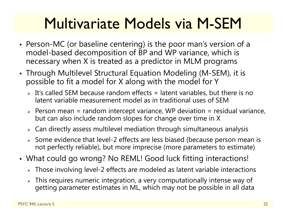# Multivariate Models via M-SEM

- Person-MC (or baseline centering) is the poor man's version of a model-based decomposition of BP and WP variance, which is necessary when X is treated as a predictor in MLM programs
- Through Multilevel Structural Equation Modeling (M-SEM), it is possible to fit a model for X along with the model for Y
	- $\triangleright$  It's called SEM because random effects = latent variables, but there is no latent variable measurement model as in traditional uses of SEM
	- $\triangleright$  Person mean = random intercept variance, WP deviation = residual variance, but can also include random slopes for change over time in X
	- $\triangleright\;$  Can directly assess multilevel mediation through simultaneous analysis
	- $\triangleright$  Some evidence that level-2 effects are less biased (because person mean is not perfectly reliable), but more imprecise (more parameters to estimate)
- What could go wrong? No REML! Good luck fitting interactions!
	- $\triangleright$  Those involving level-2 effects are modeled as latent variable interactions
	- $\triangleright$  This requires numeric integration, a very computationally intense way of getting parameter estimates in ML, which may not be possible in all data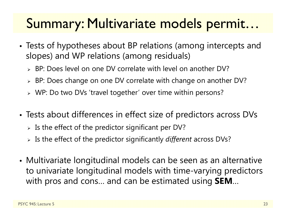### Summary: Multivariate models permit…

- • Tests of hypotheses about BP relations (among intercepts and slopes) and WP relations (among residuals)
	- BP: Does level on one DV correlate with level on another DV?
	- BP: Does change on one DV correlate with change on another DV?
	- WP: Do two DVs 'travel together' over time within persons?
- • Tests about differences in effect size of predictors across DVs
	- $\triangleright$  Is the effect of the predictor significant per DV?
	- Is the effect of the predictor significantly *different* across DVs?
- Multivariate longitudinal models can be seen as an alternative to univariate longitudinal models with time-varying predictors with pros and cons… and can be estimated using **SEM** …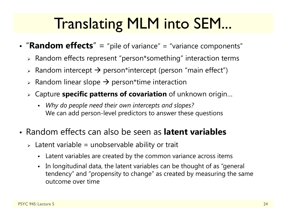# Translating MLM into SEM...

- "Random effects" = "pile of variance" = "variance components"
	- $\triangleright$  Random effects represent "person\*something" interaction terms
	- $\triangleright$  Random intercept  $\rightarrow$  person\*intercept (person "main effect")
	- $\triangleright$  Random linear slope  $\rightarrow$  person\*time interaction
	- Capture **specific patterns of covariation** of unknown origin…
		- *Why do people need their own intercepts and slopes?* We can add person-level predictors to answer these questions
- Random effects can also be seen as **latent variables**
	- $\triangleright$  Latent variable = unobservable ability or trait
		- Latent variables are created by the common variance across items
		- In longitudinal data, the latent variables can be thought of as "general tendency" and "propensity to change" as created by measuring the same outcome over time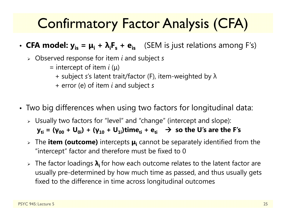# Confirmatory Factor Analysis (CFA)

- CFA model:  $y_{is} = \mu_i + \lambda_i F_s + e_{is}$  (SEM is just relations among F's)
	- Observed response for item *i* and subject *s*
		- = intercept of item *i* (μ)
			- + subject *<sup>s</sup>*'s latent trait/factor (F), item-weighted by λ
			- + error (e) of item *i* and subject *s*
- Two big differences when using two factors for longitudinal data:
	- Usually two factors for "level" and "change" (intercept and slope): **yti = (γ<sup>00</sup> + U0i) + (γ<sup>10</sup> + U1i)timeti + eti so the U's are the F's**
	- The **item (outcome)** intercepts **μi** cannot be separately identified from the "intercept" factor and therefore must be fixed to 0
	- The factor loadings **λi** for how each outcome relates to the latent factor are usually pre-determined by how much time as passed, and thus usually gets fixed to the difference in time across longitudinal outcomes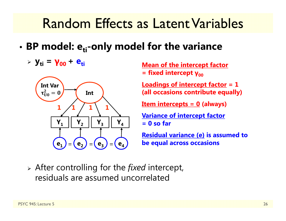- •• BP model: e<sub>ti</sub>-only model for the variance
	- **yti <sup>=</sup> γ00 <sup>+</sup> eti**



**Mean of the intercept factor** = fixed intercept γ<sub>οο</sub>

**Loadings of intercept factor = 1 (all occasions contribute equally)**

**Item intercepts = 0 (always)**

**Variance of intercept factor = 0 so far**

**Residual variance (e) is assumed to be equal across occasions**

 After controlling for the *fixed* intercept, residuals are assumed uncorrelated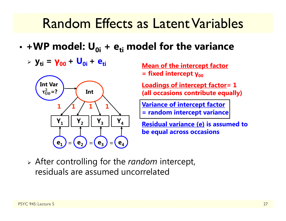- • **+WP model: U0i + eti model for the variance**
	- **yti <sup>=</sup> γ00 <sup>+</sup> U0i <sup>+</sup> eti**



**Mean of the intercept factor** = fixed intercept γ<sub>οο</sub>

**Loadings of intercept factor= 1 (all occasions contribute equally)**

**Variance of intercept factor = random intercept variance**

**Residual variance (e) is assumed to be equal across occasions**

 After controlling for the *random* intercept, residuals are assumed uncorrelated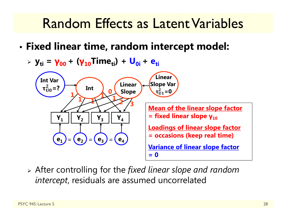- • **Fixed linear time, random intercept model:**
	- **yti <sup>=</sup> γ00 <sup>+</sup> (γ10Timeti) + U0i <sup>+</sup> eti**



 After controlling for the *fixed linear slope and random intercept*, residuals are assumed uncorrelated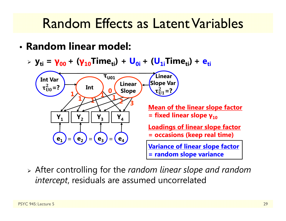• **Random linear model:**

**≯** y<sub>ti</sub> = γ<sub>00</sub> + (γ<sub>10</sub>Time<sub>ti</sub>) + U<sub>0i</sub> + (U<sub>1i</sub>Time<sub>ti</sub>) + e<sub>ti</sub>



 After controlling for the *random linear slope and random intercept*, residuals are assumed uncorrelated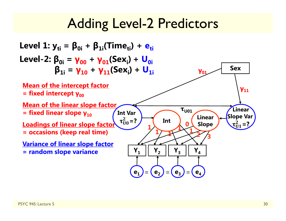### Adding Level-2 Predictors

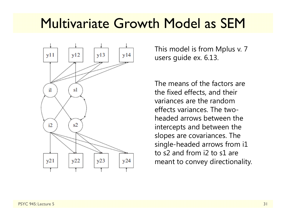### Multivariate Growth Model as SEM

![](_page_30_Figure_1.jpeg)

This model is from Mplus v. 7 users guide ex. 6.13.

The means of the factors are the fixed effects, and their variances are the random effects variances. The twoheaded arrows between the intercepts and between the slopes are covariances. The single-headed arrows from i1 to s2 and from i2 to s1 are meant to convey directionality.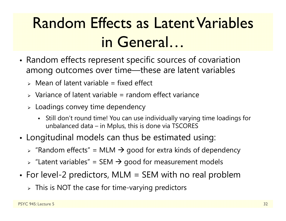# Random Effects as Latent Variables in General…

- • Random effects represent specific sources of covariation among outcomes over time—these are latent variables
	- $\triangleright$  Mean of latent variable = fixed effect
	- $\triangleright$  Variance of latent variable = random effect variance
	- $\triangleright$  Loadings convey time dependency
		- Still don't round time! You can use individually varying time loadings for unbalanced data – in Mplus, this is done via TSCORES
- Longitudinal models can thus be estimated using:
	- $\triangleright$  "Random effects" = MLM  $\rightarrow$  good for extra kinds of dependency
	- $\triangleright$  "Latent variables" = SEM  $\rightarrow$  good for measurement models
- For level-2 predictors, MLM = SEM with no real problem
	- $\triangleright$  This is NOT the case for time-varying predictors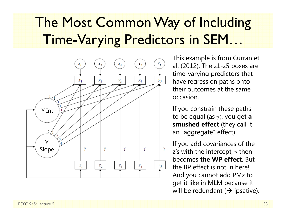### The Most Common Way of Including Time-Varying Predictors in SEM…

![](_page_32_Figure_1.jpeg)

This example is from Curran et al. (2012). The z1-z5 boxes are time-varying predictors that have regression paths onto their outcomes at the same occasion.

If you constrain these paths to be equal (as γ ), you get **<sup>a</sup> smushed effect** (they call it an "aggregate" effect).

If you add covariances of the z's with the intercept,  $\gamma$  then  $\;$ becomes **the WP effect**. But the BP effect is not in here! And you cannot add PMz to get it like in MLM because it will be redundant ( $\rightarrow$  ipsative).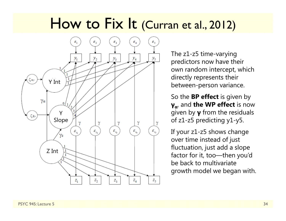### How to Fix It (Curran et al., 2012)

![](_page_33_Figure_1.jpeg)

The z1-z5 time-varying predictors now have their own random intercept, which directly represents their between-person variance.

So the **BP effect** is given by **γα**, and **the WP effect** is now given by **γ** from the residuals of z1-z5 predicting y1-y5.

If your z1-z5 shows change over time instead of just fluctuation, just add a slope factor for it, too—then you'd be back to multivariate growth model we began with.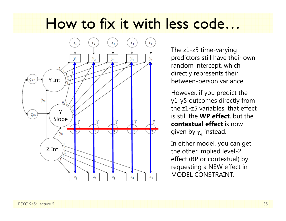# How to fix it with less code…

![](_page_34_Figure_1.jpeg)

The z1-z5 time-varying predictors still have their own random intercept, which directly represents their between-person variance.

However, if you predict the y1-y5 outcomes directly from the z1-z5 variables, that effect is still the **WP effect**, but the **contextual effect** is now given by **γ α** instead.

In either model, you can get the other implied level-2 effect (BP or contextual) by requesting a NEW effect in MODEL CONSTRAINT.